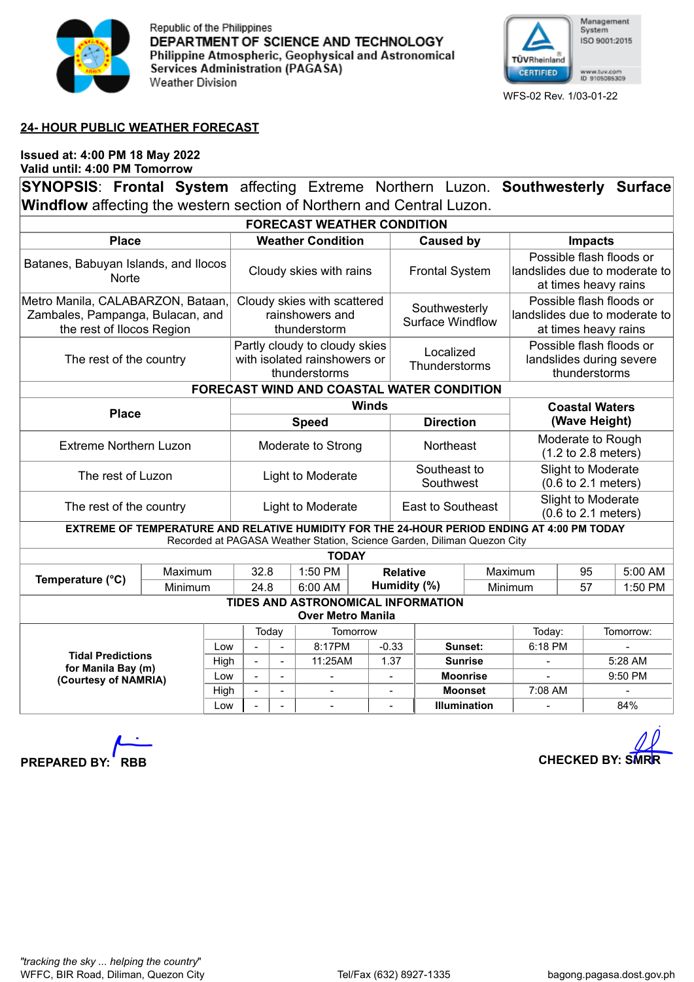

Republic of the Philippines DEPARTMENT OF SCIENCE AND TECHNOLOGY Philippine Atmospheric, Geophysical and Astronomical Services Administration (PAGASA) Weather Division



## **24- HOUR PUBLIC WEATHER FORECAST**

## **Issued at: 4:00 PM 18 May 2022 Valid until: 4:00 PM Tomorrow**

**SYNOPSIS**: **Frontal System** affecting Extreme Northern Luzon. **Southwesterly Surface Windflow** affecting the western section of Northern and Central Luzon.

| <b>FORECAST WEATHER CONDITION</b>                                                                                                                                      |         |                                                                |                                                                                |                |          |                                          |                           |                                                                                   |                                                                                   |               |         |           |         |  |
|------------------------------------------------------------------------------------------------------------------------------------------------------------------------|---------|----------------------------------------------------------------|--------------------------------------------------------------------------------|----------------|----------|------------------------------------------|---------------------------|-----------------------------------------------------------------------------------|-----------------------------------------------------------------------------------|---------------|---------|-----------|---------|--|
| <b>Place</b>                                                                                                                                                           |         |                                                                | <b>Weather Condition</b>                                                       |                |          |                                          |                           | <b>Caused by</b>                                                                  | <b>Impacts</b>                                                                    |               |         |           |         |  |
| Batanes, Babuyan Islands, and Ilocos<br>Norte                                                                                                                          |         |                                                                | Cloudy skies with rains                                                        |                |          |                                          | <b>Frontal System</b>     |                                                                                   | Possible flash floods or<br>landslides due to moderate to<br>at times heavy rains |               |         |           |         |  |
| Metro Manila, CALABARZON, Bataan,<br>Zambales, Pampanga, Bulacan, and<br>the rest of Ilocos Region                                                                     |         | Cloudy skies with scattered<br>rainshowers and<br>thunderstorm |                                                                                |                |          | Southwesterly<br><b>Surface Windflow</b> |                           | Possible flash floods or<br>landslides due to moderate to<br>at times heavy rains |                                                                                   |               |         |           |         |  |
| The rest of the country                                                                                                                                                |         |                                                                | Partly cloudy to cloudy skies<br>with isolated rainshowers or<br>thunderstorms |                |          |                                          |                           | Localized<br>Thunderstorms                                                        | Possible flash floods or<br>landslides during severe<br>thunderstorms             |               |         |           |         |  |
| FORECAST WIND AND COASTAL WATER CONDITION                                                                                                                              |         |                                                                |                                                                                |                |          |                                          |                           |                                                                                   |                                                                                   |               |         |           |         |  |
| <b>Place</b>                                                                                                                                                           |         |                                                                | <b>Winds</b>                                                                   |                |          |                                          |                           |                                                                                   | <b>Coastal Waters</b>                                                             |               |         |           |         |  |
|                                                                                                                                                                        |         |                                                                | <b>Speed</b>                                                                   |                |          |                                          |                           | <b>Direction</b>                                                                  | (Wave Height)                                                                     |               |         |           |         |  |
| <b>Extreme Northern Luzon</b>                                                                                                                                          |         |                                                                | Moderate to Strong                                                             |                |          |                                          | Northeast                 |                                                                                   | Moderate to Rough<br>$(1.2 \text{ to } 2.8 \text{ meters})$                       |               |         |           |         |  |
| The rest of Luzon                                                                                                                                                      |         |                                                                | Light to Moderate                                                              |                |          |                                          | Southeast to<br>Southwest |                                                                                   | Slight to Moderate<br>$(0.6 \text{ to } 2.1 \text{ meters})$                      |               |         |           |         |  |
| The rest of the country                                                                                                                                                |         |                                                                | Light to Moderate                                                              |                |          |                                          | <b>East to Southeast</b>  |                                                                                   | Slight to Moderate<br>$(0.6 \text{ to } 2.1 \text{ meters})$                      |               |         |           |         |  |
| EXTREME OF TEMPERATURE AND RELATIVE HUMIDITY FOR THE 24-HOUR PERIOD ENDING AT 4:00 PM TODAY<br>Recorded at PAGASA Weather Station, Science Garden, Diliman Quezon City |         |                                                                |                                                                                |                |          |                                          |                           |                                                                                   |                                                                                   |               |         |           |         |  |
| <b>TODAY</b>                                                                                                                                                           |         |                                                                |                                                                                |                |          |                                          |                           |                                                                                   |                                                                                   |               |         |           |         |  |
| Temperature (°C)                                                                                                                                                       | Maximum |                                                                | 32.8                                                                           |                | 1:50 PM  | <b>Relative</b>                          |                           |                                                                                   |                                                                                   | Maximum<br>95 |         |           | 5:00 AM |  |
| Minimum                                                                                                                                                                |         |                                                                | 24.8                                                                           |                | 6:00 AM  |                                          | Humidity (%)              |                                                                                   | Minimum                                                                           | 57            |         | 1:50 PM   |         |  |
| TIDES AND ASTRONOMICAL INFORMATION<br><b>Over Metro Manila</b>                                                                                                         |         |                                                                |                                                                                |                |          |                                          |                           |                                                                                   |                                                                                   |               |         |           |         |  |
|                                                                                                                                                                        |         |                                                                | Today                                                                          |                | Tomorrow |                                          |                           |                                                                                   |                                                                                   | Today:        |         | Tomorrow: |         |  |
| <b>Tidal Predictions</b>                                                                                                                                               |         | Low                                                            | $\blacksquare$                                                                 | $\blacksquare$ | 8:17PM   | $-0.33$                                  |                           | Sunset:                                                                           |                                                                                   | 6:18 PM       |         |           |         |  |
| for Manila Bay (m)                                                                                                                                                     |         | High                                                           | $\blacksquare$                                                                 | $\blacksquare$ | 11:25AM  | 1.37                                     |                           | <b>Sunrise</b><br><b>Moonrise</b>                                                 |                                                                                   |               |         |           | 5:28 AM |  |
| (Courtesy of NAMRIA)                                                                                                                                                   |         | Low                                                            | $\equiv$                                                                       | $\blacksquare$ |          |                                          |                           |                                                                                   |                                                                                   |               |         | 9:50 PM   |         |  |
|                                                                                                                                                                        |         | High<br>Low                                                    |                                                                                |                |          |                                          |                           | <b>Moonset</b><br><b>Illumination</b>                                             |                                                                                   |               | 7:08 AM |           | 84%     |  |
|                                                                                                                                                                        |         |                                                                |                                                                                |                |          |                                          |                           |                                                                                   |                                                                                   |               |         |           |         |  |

**PREPARED BY:** RBB **CHECKED BY:** SM